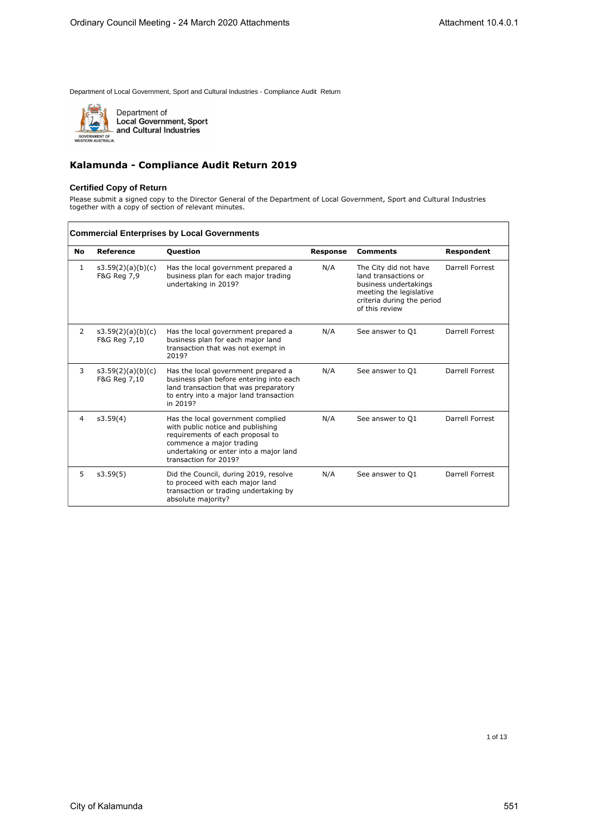

Department of<br>Local Government, Sport<br>and Cultural Industries

### **Kalamunda - Compliance Audit Return 2019**

### **Certified Copy of Return**

Please submit a signed copy to the Director General of the Department of Local Government, Sport and Cultural Industries together with a copy of section of relevant minutes.

| <b>Commercial Enterprises by Local Governments</b> |                                   |                                                                                                                                                                                                           |                 |                                                                                                                                                   |                 |  |
|----------------------------------------------------|-----------------------------------|-----------------------------------------------------------------------------------------------------------------------------------------------------------------------------------------------------------|-----------------|---------------------------------------------------------------------------------------------------------------------------------------------------|-----------------|--|
| No                                                 | Reference                         | <b>Question</b>                                                                                                                                                                                           | <b>Response</b> | <b>Comments</b>                                                                                                                                   | Respondent      |  |
| 1                                                  | s3.59(2)(a)(b)(c)<br>F&G Reg 7,9  | Has the local government prepared a<br>business plan for each major trading<br>undertaking in 2019?                                                                                                       | N/A             | The City did not have<br>land transactions or<br>business undertakings<br>meeting the legislative<br>criteria during the period<br>of this review | Darrell Forrest |  |
| 2                                                  | s3.59(2)(a)(b)(c)<br>F&G Reg 7,10 | Has the local government prepared a<br>business plan for each major land<br>transaction that was not exempt in<br>2019?                                                                                   | N/A             | See answer to Q1                                                                                                                                  | Darrell Forrest |  |
| 3                                                  | s3.59(2)(a)(b)(c)<br>F&G Reg 7,10 | Has the local government prepared a<br>business plan before entering into each<br>land transaction that was preparatory<br>to entry into a major land transaction<br>in 2019?                             | N/A             | See answer to Q1                                                                                                                                  | Darrell Forrest |  |
| 4                                                  | s3.59(4)                          | Has the local government complied<br>with public notice and publishing<br>requirements of each proposal to<br>commence a major trading<br>undertaking or enter into a major land<br>transaction for 2019? | N/A             | See answer to O1                                                                                                                                  | Darrell Forrest |  |
| 5                                                  | s3.59(5)                          | Did the Council, during 2019, resolve<br>to proceed with each major land<br>transaction or trading undertaking by<br>absolute majority?                                                                   | N/A             | See answer to Q1                                                                                                                                  | Darrell Forrest |  |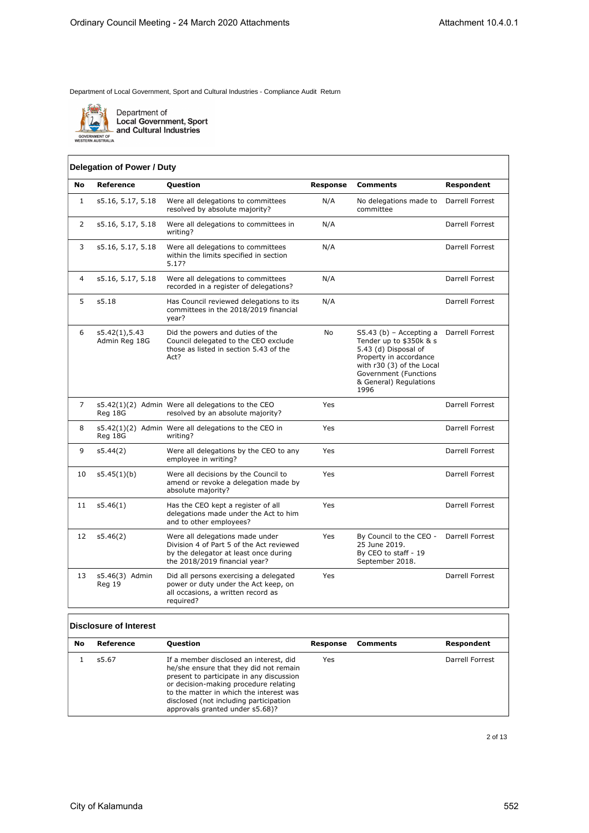

Department of<br>Local Government, Sport<br>and Cultural Industries

### **Delegation of Power / Duty**

| No           | Reference                      | <b>Question</b>                                                                                                                                       | <b>Response</b> | <b>Comments</b>                                                                                                                                                                              | Respondent      |
|--------------|--------------------------------|-------------------------------------------------------------------------------------------------------------------------------------------------------|-----------------|----------------------------------------------------------------------------------------------------------------------------------------------------------------------------------------------|-----------------|
| $\mathbf{1}$ | s5.16, 5.17, 5.18              | Were all delegations to committees<br>resolved by absolute majority?                                                                                  | N/A             | No delegations made to<br>committee                                                                                                                                                          | Darrell Forrest |
| 2            | s5.16, 5.17, 5.18              | Were all delegations to committees in<br>writing?                                                                                                     | N/A             |                                                                                                                                                                                              | Darrell Forrest |
| 3            | s5.16, 5.17, 5.18              | Were all delegations to committees<br>within the limits specified in section<br>5.17?                                                                 | N/A             |                                                                                                                                                                                              | Darrell Forrest |
| 4            | s5.16, 5.17, 5.18              | Were all delegations to committees<br>recorded in a register of delegations?                                                                          | N/A             |                                                                                                                                                                                              | Darrell Forrest |
| 5            | s5.18                          | Has Council reviewed delegations to its<br>committees in the 2018/2019 financial<br>year?                                                             | N/A             |                                                                                                                                                                                              | Darrell Forrest |
| 6            | s5.42(1),5.43<br>Admin Reg 18G | Did the powers and duties of the<br>Council delegated to the CEO exclude<br>those as listed in section 5.43 of the<br>Act?                            | No              | S5.43 (b) - Accepting a<br>Tender up to \$350k & s<br>5.43 (d) Disposal of<br>Property in accordance<br>with r30 (3) of the Local<br>Government (Functions<br>& General) Regulations<br>1996 | Darrell Forrest |
| 7            | Reg 18G                        | s5.42(1)(2) Admin Were all delegations to the CEO<br>resolved by an absolute majority?                                                                | Yes             |                                                                                                                                                                                              | Darrell Forrest |
| 8            | Reg 18G                        | s5.42(1)(2) Admin Were all delegations to the CEO in<br>writing?                                                                                      | Yes             |                                                                                                                                                                                              | Darrell Forrest |
| 9            | s5.44(2)                       | Were all delegations by the CEO to any<br>employee in writing?                                                                                        | Yes             |                                                                                                                                                                                              | Darrell Forrest |
| 10           | s5.45(1)(b)                    | Were all decisions by the Council to<br>amend or revoke a delegation made by<br>absolute majority?                                                    | Yes             |                                                                                                                                                                                              | Darrell Forrest |
| 11           | s5.46(1)                       | Has the CEO kept a register of all<br>delegations made under the Act to him<br>and to other employees?                                                | Yes             |                                                                                                                                                                                              | Darrell Forrest |
| 12           | s5.46(2)                       | Were all delegations made under<br>Division 4 of Part 5 of the Act reviewed<br>by the delegator at least once during<br>the 2018/2019 financial year? | Yes             | By Council to the CEO -<br>25 June 2019.<br>By CEO to staff - 19<br>September 2018.                                                                                                          | Darrell Forrest |
| 13           | s5.46(3) Admin<br>Reg 19       | Did all persons exercising a delegated<br>power or duty under the Act keep, on<br>all occasions, a written record as<br>required?                     | Yes             |                                                                                                                                                                                              | Darrell Forrest |

#### **Disclosure of Interest**

| No | Reference | <b>Ouestion</b>                                                                                                                                                                                                                                                                               | Response | Comments | Respondent      |
|----|-----------|-----------------------------------------------------------------------------------------------------------------------------------------------------------------------------------------------------------------------------------------------------------------------------------------------|----------|----------|-----------------|
|    | s5.67     | If a member disclosed an interest, did<br>he/she ensure that they did not remain<br>present to participate in any discussion<br>or decision-making procedure relating<br>to the matter in which the interest was<br>disclosed (not including participation<br>approvals granted under s5.68)? | Yes      |          | Darrell Forrest |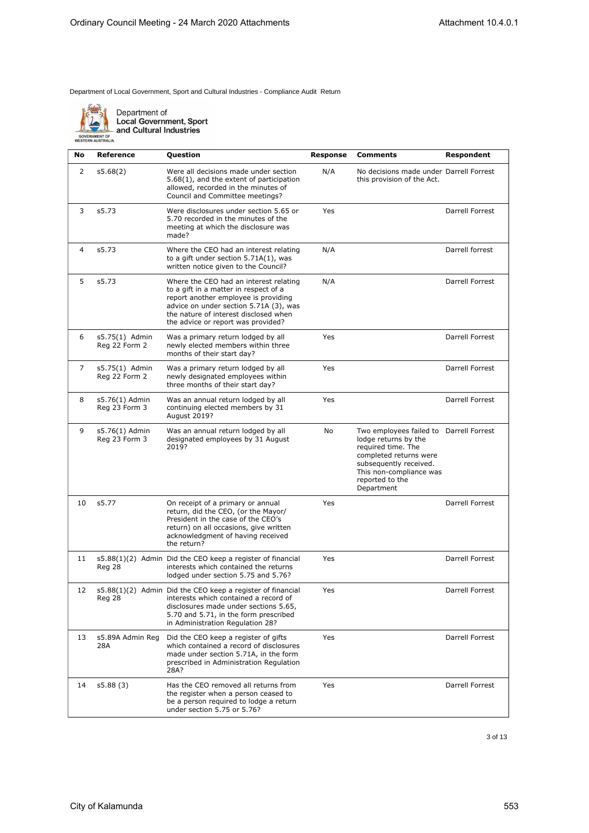

Department of **Local Government, Sport** and Cultural Industries

**No Reference Question Response Comments Respondent** 2 s5.68(2) Were all decisions made under section 5.68(1), and the extent of participation allowed, recorded in the minutes of Council and Committee meetings? N/A No decisions made under Darrell Forrest this provision of the Act. 3 s5.73 Were disclosures under section 5.65 or 5.70 recorded in the minutes of the meeting at which the disclosure was made? Yes **Darrell Forrest** 4 s5.73 Where the CEO had an interest relating to a gift under section 5.71A(1), was written notice given to the Council? N/A Darrell forrest 5 s5.73 Where the CEO had an interest relating to a gift in a matter in respect of a report another employee is providing advice on under section 5.71A (3), was the nature of interest disclosed when the advice or report was provided? N/A Darrell Forrest 6 s5.75(1) Admin Reg 22 Form 2 Was a primary return lodged by all newly elected members within three months of their start day? Yes Darrell Forrest 7 s5.75(1) Admin Reg 22 Form 2 Was a primary return lodged by all newly designated employees within three months of their start day? Yes Darrell Forrest 8 s5.76(1) Admin Reg 23 Form 3 Was an annual return lodged by all continuing elected members by 31 August 2019? Yes **Darrell Forrest** 9 s5.76(1) Admin Reg 23 Form 3 Was an annual return lodged by all designated employees by 31 August 2019? No Two employees failed to Darrell Forrest lodge returns by the required time. The completed returns were subsequently received. This non-compliance was reported to the Department 10 s5.77 On receipt of a primary or annual return, did the CEO, (or the Mayor/ President in the case of the CEO's return) on all occasions, give written acknowledgment of having received the return? Yes Darrell Forrest 11 s5.88(1)(2) Admin Did the CEO keep a register of financial Reg 28 interests which contained the returns lodged under section 5.75 and 5.76? Yes Darrell Forrest 12 s5.88(1)(2) Admin Did the CEO keep a register of financial Reg 28 interests which contained a record of disclosures made under sections 5.65, 5.70 and 5.71, in the form prescribed in Administration Regulation 28? Yes **Darrell Forrest** 13 s5.89A Admin Reg 28A Did the CEO keep a register of gifts which contained a record of disclosures made under section 5.71A, in the form prescribed in Administration Regulation 28A? Yes Darrell Forrest 14 s5.88 (3) Has the CEO removed all returns from the register when a person ceased to be a person required to lodge a return under section 5.75 or 5.76? Yes Darrell Forrest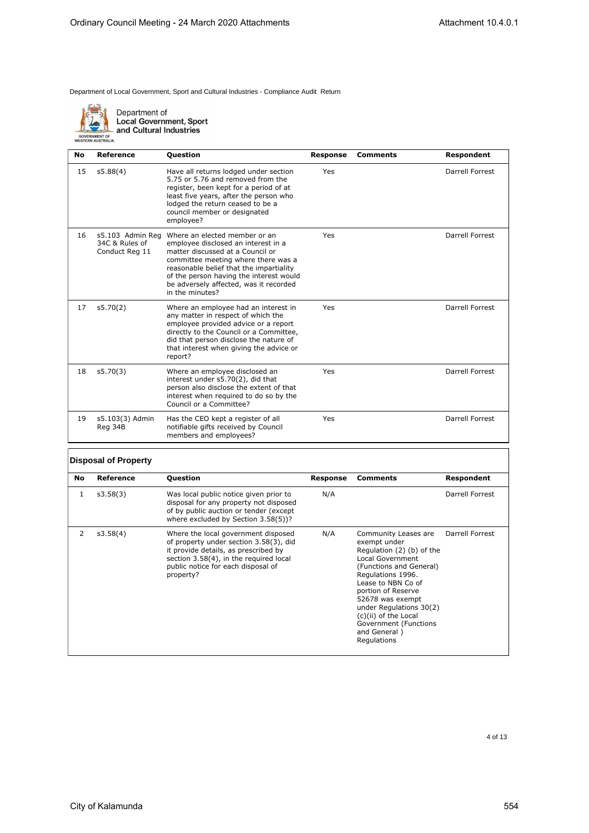

Department of<br>Local Government, Sport<br>and Cultural Industries

| No | Reference                                            | <b>Ouestion</b>                                                                                                                                                                                                                                                                                    | <b>Response</b> | <b>Comments</b> | Respondent      |
|----|------------------------------------------------------|----------------------------------------------------------------------------------------------------------------------------------------------------------------------------------------------------------------------------------------------------------------------------------------------------|-----------------|-----------------|-----------------|
| 15 | s5.88(4)                                             | Have all returns lodged under section<br>5.75 or 5.76 and removed from the<br>register, been kept for a period of at<br>least five years, after the person who<br>lodged the return ceased to be a<br>council member or designated<br>employee?                                                    | Yes             |                 | Darrell Forrest |
| 16 | s5.103 Admin Reg<br>34C & Rules of<br>Conduct Reg 11 | Where an elected member or an<br>employee disclosed an interest in a<br>matter discussed at a Council or<br>committee meeting where there was a<br>reasonable belief that the impartiality<br>of the person having the interest would<br>be adversely affected, was it recorded<br>in the minutes? | Yes             |                 | Darrell Forrest |
| 17 | s5.70(2)                                             | Where an employee had an interest in<br>any matter in respect of which the<br>employee provided advice or a report<br>directly to the Council or a Committee,<br>did that person disclose the nature of<br>that interest when giving the advice or<br>report?                                      | Yes             |                 | Darrell Forrest |
| 18 | s5.70(3)                                             | Where an employee disclosed an<br>interest under s5.70(2), did that<br>person also disclose the extent of that<br>interest when required to do so by the<br>Council or a Committee?                                                                                                                | Yes             |                 | Darrell Forrest |
| 19 | s5.103(3) Admin<br>Reg 34B                           | Has the CEO kept a register of all<br>notifiable gifts received by Council<br>members and employees?                                                                                                                                                                                               | Yes             |                 | Darrell Forrest |

### **Disposal of Property**

| No | Reference | <b>Question</b>                                                                                                                                                                                                    | Response | <b>Comments</b>                                                                                                                                                                                                                                                                                                  | Respondent      |
|----|-----------|--------------------------------------------------------------------------------------------------------------------------------------------------------------------------------------------------------------------|----------|------------------------------------------------------------------------------------------------------------------------------------------------------------------------------------------------------------------------------------------------------------------------------------------------------------------|-----------------|
| 1  | s3.58(3)  | Was local public notice given prior to<br>disposal for any property not disposed<br>of by public auction or tender (except<br>where excluded by Section 3.58(5))?                                                  | N/A      |                                                                                                                                                                                                                                                                                                                  | Darrell Forrest |
| 2  | s3.58(4)  | Where the local government disposed<br>of property under section 3.58(3), did<br>it provide details, as prescribed by<br>section 3.58(4), in the required local<br>public notice for each disposal of<br>property? | N/A      | Community Leases are<br>exempt under<br>Regulation (2) (b) of the<br>Local Government<br>(Functions and General)<br>Regulations 1996.<br>Lease to NBN Co of<br>portion of Reserve<br>52678 was exempt<br>under Regulations 30(2)<br>(c)(ii) of the Local<br>Government (Functions<br>and General)<br>Regulations | Darrell Forrest |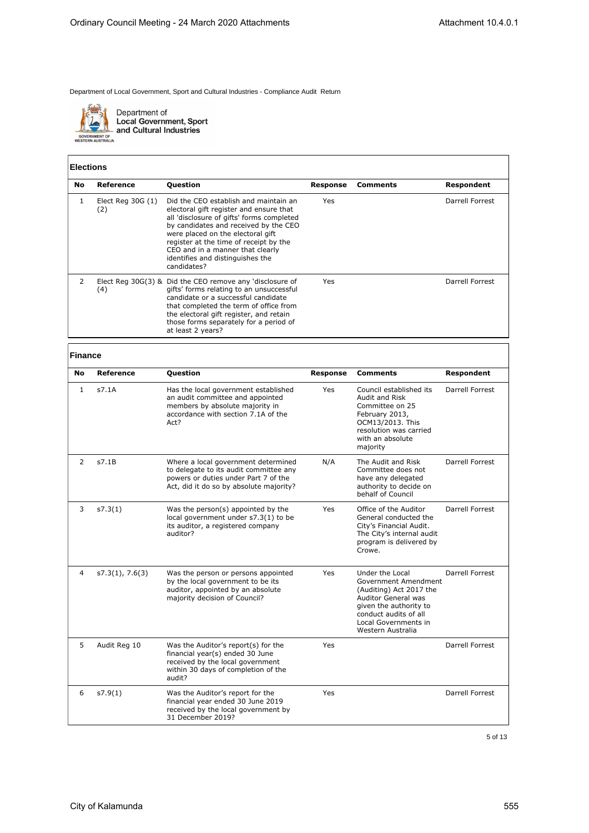

Department of<br>Local Government, Sport<br>and Cultural Industries

### **Elections**

| No. | Reference                 | <b>Question</b>                                                                                                                                                                                                                                                                                                                              | Response | Comments | Respondent      |
|-----|---------------------------|----------------------------------------------------------------------------------------------------------------------------------------------------------------------------------------------------------------------------------------------------------------------------------------------------------------------------------------------|----------|----------|-----------------|
|     | Elect Reg $30G(1)$<br>(2) | Did the CEO establish and maintain an<br>electoral gift register and ensure that<br>all 'disclosure of gifts' forms completed<br>by candidates and received by the CEO<br>were placed on the electoral gift<br>register at the time of receipt by the<br>CEO and in a manner that clearly<br>identifies and distinguishes the<br>candidates? | Yes      |          | Darrell Forrest |
|     | (4)                       | Elect Reg $30G(3)$ & Did the CEO remove any 'disclosure of<br>gifts' forms relating to an unsuccessful<br>candidate or a successful candidate<br>that completed the term of office from<br>the electoral gift register, and retain<br>those forms separately for a period of<br>at least 2 years?                                            | Yes      |          | Darrell Forrest |

# **Finance**

| <b>No</b>    | Reference       | Question                                                                                                                                                         | <b>Response</b> | <b>Comments</b>                                                                                                                                                                                  | Respondent      |
|--------------|-----------------|------------------------------------------------------------------------------------------------------------------------------------------------------------------|-----------------|--------------------------------------------------------------------------------------------------------------------------------------------------------------------------------------------------|-----------------|
| $\mathbf{1}$ | s7.1A           | Has the local government established<br>an audit committee and appointed<br>members by absolute majority in<br>accordance with section 7.1A of the<br>Act?       | <b>Yes</b>      | Council established its<br>Audit and Risk<br>Committee on 25<br>February 2013,<br>OCM13/2013. This<br>resolution was carried<br>with an absolute<br>majority                                     | Darrell Forrest |
| 2            | s7.1B           | Where a local government determined<br>to delegate to its audit committee any<br>powers or duties under Part 7 of the<br>Act, did it do so by absolute majority? | N/A             | The Audit and Risk<br>Committee does not<br>have any delegated<br>authority to decide on<br>behalf of Council                                                                                    | Darrell Forrest |
| 3            | s7.3(1)         | Was the person(s) appointed by the<br>local government under s7.3(1) to be<br>its auditor, a registered company<br>auditor?                                      | Yes             | Office of the Auditor<br>General conducted the<br>City's Financial Audit.<br>The City's internal audit<br>program is delivered by<br>Crowe.                                                      | Darrell Forrest |
| 4            | s7.3(1), 7.6(3) | Was the person or persons appointed<br>by the local government to be its<br>auditor, appointed by an absolute<br>majority decision of Council?                   | Yes             | Under the Local<br>Government Amendment<br>(Auditing) Act 2017 the<br><b>Auditor General was</b><br>given the authority to<br>conduct audits of all<br>Local Governments in<br>Western Australia | Darrell Forrest |
| 5            | Audit Reg 10    | Was the Auditor's report(s) for the<br>financial year(s) ended 30 June<br>received by the local government<br>within 30 days of completion of the<br>audit?      | Yes             |                                                                                                                                                                                                  | Darrell Forrest |
| 6            | s7.9(1)         | Was the Auditor's report for the<br>financial year ended 30 June 2019<br>received by the local government by<br>31 December 2019?                                | Yes             |                                                                                                                                                                                                  | Darrell Forrest |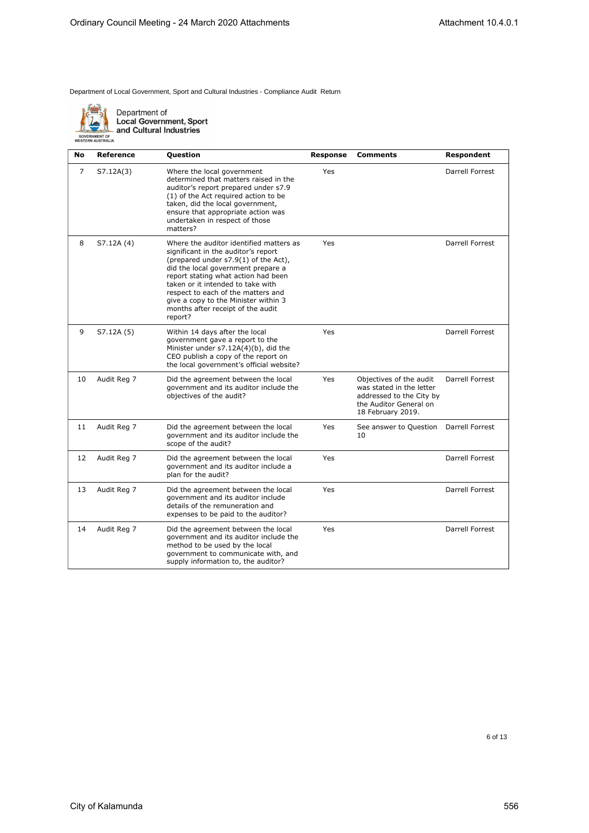

Department of<br>Local Government, Sport<br>and Cultural Industries

| No | Reference   | <b>Question</b>                                                                                                                                                                                                                                                                                                                                                        | <b>Response</b> | <b>Comments</b>                                                                                                                | Respondent      |
|----|-------------|------------------------------------------------------------------------------------------------------------------------------------------------------------------------------------------------------------------------------------------------------------------------------------------------------------------------------------------------------------------------|-----------------|--------------------------------------------------------------------------------------------------------------------------------|-----------------|
| 7  | S7.12A(3)   | Where the local government<br>determined that matters raised in the<br>auditor's report prepared under s7.9<br>(1) of the Act required action to be<br>taken, did the local government,<br>ensure that appropriate action was<br>undertaken in respect of those<br>matters?                                                                                            | Yes             |                                                                                                                                | Darrell Forrest |
| 8  | S7.12A (4)  | Where the auditor identified matters as<br>significant in the auditor's report<br>(prepared under s7.9(1) of the Act),<br>did the local government prepare a<br>report stating what action had been<br>taken or it intended to take with<br>respect to each of the matters and<br>give a copy to the Minister within 3<br>months after receipt of the audit<br>report? | Yes             |                                                                                                                                | Darrell Forrest |
| 9  | S7.12A (5)  | Within 14 days after the local<br>government gave a report to the<br>Minister under s7.12A(4)(b), did the<br>CEO publish a copy of the report on<br>the local government's official website?                                                                                                                                                                           | Yes             |                                                                                                                                | Darrell Forrest |
| 10 | Audit Reg 7 | Did the agreement between the local<br>government and its auditor include the<br>objectives of the audit?                                                                                                                                                                                                                                                              | Yes             | Objectives of the audit<br>was stated in the letter<br>addressed to the City by<br>the Auditor General on<br>18 February 2019. | Darrell Forrest |
| 11 | Audit Reg 7 | Did the agreement between the local<br>government and its auditor include the<br>scope of the audit?                                                                                                                                                                                                                                                                   | Yes             | See answer to Question<br>10                                                                                                   | Darrell Forrest |
| 12 | Audit Reg 7 | Did the agreement between the local<br>government and its auditor include a<br>plan for the audit?                                                                                                                                                                                                                                                                     | Yes             |                                                                                                                                | Darrell Forrest |
| 13 | Audit Reg 7 | Did the agreement between the local<br>government and its auditor include<br>details of the remuneration and<br>expenses to be paid to the auditor?                                                                                                                                                                                                                    | Yes             |                                                                                                                                | Darrell Forrest |
| 14 | Audit Reg 7 | Did the agreement between the local<br>government and its auditor include the<br>method to be used by the local<br>government to communicate with, and<br>supply information to, the auditor?                                                                                                                                                                          | Yes             |                                                                                                                                | Darrell Forrest |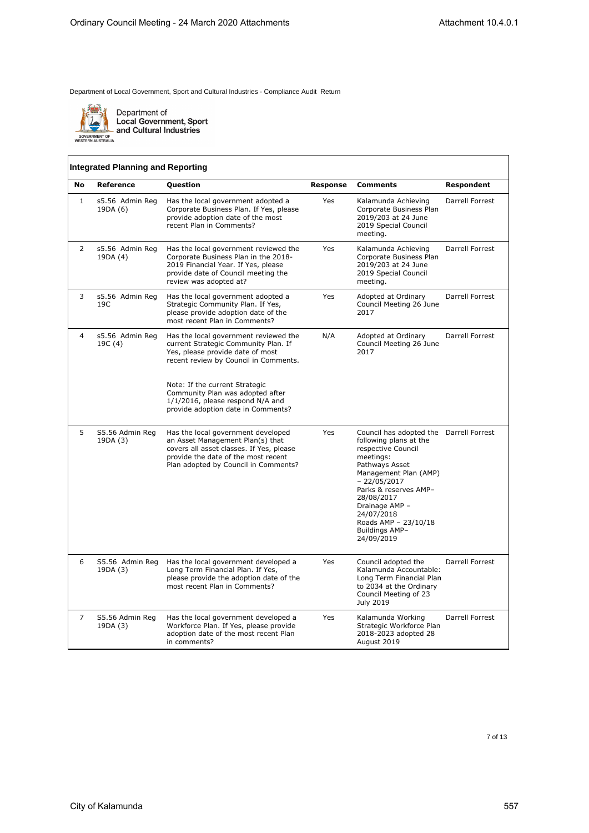

Department of<br>Local Government, Sport<br>and Cultural Industries

### **Integrated Planning and Reporting**

| No             | Reference                   | <b>Question</b>                                                                                                                                                                                                                                                                                            | <b>Response</b> | <b>Comments</b>                                                                                                                                                                                                                                                                                 | Respondent      |
|----------------|-----------------------------|------------------------------------------------------------------------------------------------------------------------------------------------------------------------------------------------------------------------------------------------------------------------------------------------------------|-----------------|-------------------------------------------------------------------------------------------------------------------------------------------------------------------------------------------------------------------------------------------------------------------------------------------------|-----------------|
| $\mathbf{1}$   | s5.56 Admin Reg<br>19DA (6) | Has the local government adopted a<br>Corporate Business Plan. If Yes, please<br>provide adoption date of the most<br>recent Plan in Comments?                                                                                                                                                             | Yes             | Kalamunda Achieving<br>Corporate Business Plan<br>2019/203 at 24 June<br>2019 Special Council<br>meeting.                                                                                                                                                                                       | Darrell Forrest |
| 2              | s5.56 Admin Reg<br>19DA (4) | Has the local government reviewed the<br>Corporate Business Plan in the 2018-<br>2019 Financial Year. If Yes, please<br>provide date of Council meeting the<br>review was adopted at?                                                                                                                      | Yes             | Kalamunda Achieving<br>Corporate Business Plan<br>2019/203 at 24 June<br>2019 Special Council<br>meeting.                                                                                                                                                                                       | Darrell Forrest |
| 3              | s5.56 Admin Reg<br>19C      | Has the local government adopted a<br>Strategic Community Plan. If Yes,<br>please provide adoption date of the<br>most recent Plan in Comments?                                                                                                                                                            | Yes             | Adopted at Ordinary<br>Council Meeting 26 June<br>2017                                                                                                                                                                                                                                          | Darrell Forrest |
| $\overline{4}$ | s5.56 Admin Reg<br>19C (4)  | Has the local government reviewed the<br>current Strategic Community Plan. If<br>Yes, please provide date of most<br>recent review by Council in Comments.<br>Note: If the current Strategic<br>Community Plan was adopted after<br>1/1/2016, please respond N/A and<br>provide adoption date in Comments? | N/A             | Adopted at Ordinary<br>Council Meeting 26 June<br>2017                                                                                                                                                                                                                                          | Darrell Forrest |
| 5              | S5.56 Admin Reg<br>19DA (3) | Has the local government developed<br>an Asset Management Plan(s) that<br>covers all asset classes. If Yes, please<br>provide the date of the most recent<br>Plan adopted by Council in Comments?                                                                                                          | Yes             | Council has adopted the Darrell Forrest<br>following plans at the<br>respective Council<br>meetings:<br>Pathways Asset<br>Management Plan (AMP)<br>$-22/05/2017$<br>Parks & reserves AMP-<br>28/08/2017<br>Drainage AMP -<br>24/07/2018<br>Roads AMP - 23/10/18<br>Buildings AMP-<br>24/09/2019 |                 |
| 6              | S5.56 Admin Reg<br>19DA (3) | Has the local government developed a<br>Long Term Financial Plan. If Yes,<br>please provide the adoption date of the<br>most recent Plan in Comments?                                                                                                                                                      | Yes             | Council adopted the<br>Kalamunda Accountable:<br>Long Term Financial Plan<br>to 2034 at the Ordinary<br>Council Meeting of 23<br>July 2019                                                                                                                                                      | Darrell Forrest |
| 7              | S5.56 Admin Reg<br>19DA (3) | Has the local government developed a<br>Workforce Plan. If Yes, please provide<br>adoption date of the most recent Plan<br>in comments?                                                                                                                                                                    | Yes             | Kalamunda Working<br>Strategic Workforce Plan<br>2018-2023 adopted 28<br>August 2019                                                                                                                                                                                                            | Darrell Forrest |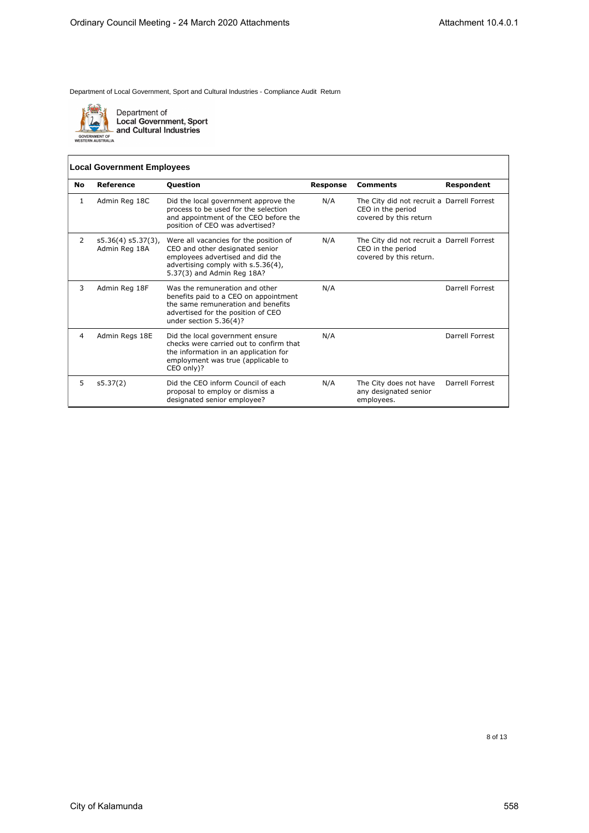

Department of<br>Local Government, Sport<br>and Cultural Industries

### **Local Government Employees**

| No | Reference                              | Question                                                                                                                                                                          | <b>Response</b> | <b>Comments</b>                                                                            | Respondent      |
|----|----------------------------------------|-----------------------------------------------------------------------------------------------------------------------------------------------------------------------------------|-----------------|--------------------------------------------------------------------------------------------|-----------------|
| 1  | Admin Reg 18C                          | Did the local government approve the<br>process to be used for the selection<br>and appointment of the CEO before the<br>position of CEO was advertised?                          | N/A             | The City did not recruit a Darrell Forrest<br>CEO in the period<br>covered by this return  |                 |
| 2  | $s5.36(4) s5.37(3)$ ,<br>Admin Reg 18A | Were all vacancies for the position of<br>CEO and other designated senior<br>employees advertised and did the<br>advertising comply with s.5.36(4),<br>5.37(3) and Admin Reg 18A? | N/A             | The City did not recruit a Darrell Forrest<br>CEO in the period<br>covered by this return. |                 |
| 3  | Admin Reg 18F                          | Was the remuneration and other<br>benefits paid to a CEO on appointment<br>the same remuneration and benefits<br>advertised for the position of CEO<br>under section $5.36(4)$ ?  | N/A             |                                                                                            | Darrell Forrest |
| 4  | Admin Regs 18E                         | Did the local government ensure<br>checks were carried out to confirm that<br>the information in an application for<br>employment was true (applicable to<br>CEO only)?           | N/A             |                                                                                            | Darrell Forrest |
| 5  | s5.37(2)                               | Did the CEO inform Council of each<br>proposal to employ or dismiss a<br>designated senior employee?                                                                              | N/A             | The City does not have<br>any designated senior<br>employees.                              | Darrell Forrest |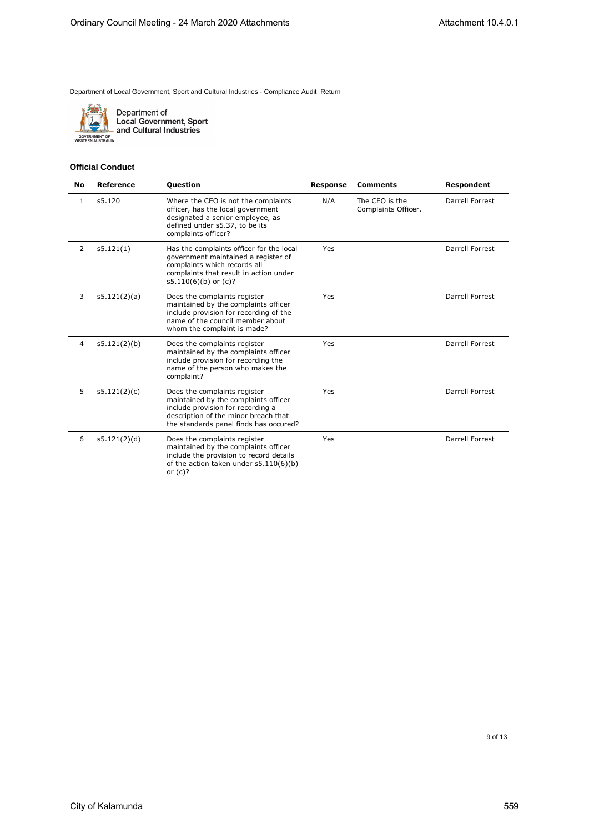

Department of<br>Local Government, Sport<br>and Cultural Industries

|  | Official Conduct |
|--|------------------|
|--|------------------|

| <b>No</b>      | Reference    | <b>Question</b>                                                                                                                                                                             | <b>Response</b> | <b>Comments</b>                       | <b>Respondent</b> |
|----------------|--------------|---------------------------------------------------------------------------------------------------------------------------------------------------------------------------------------------|-----------------|---------------------------------------|-------------------|
| 1              | s5.120       | Where the CEO is not the complaints<br>officer, has the local government<br>designated a senior employee, as<br>defined under s5.37, to be its<br>complaints officer?                       | N/A             | The CEO is the<br>Complaints Officer. | Darrell Forrest   |
| $\overline{2}$ | s5.121(1)    | Has the complaints officer for the local<br>government maintained a register of<br>complaints which records all<br>complaints that result in action under<br>$s5.110(6)(b)$ or (c)?         | Yes             |                                       | Darrell Forrest   |
| 3              | s5.121(2)(a) | Does the complaints register<br>maintained by the complaints officer<br>include provision for recording of the<br>name of the council member about<br>whom the complaint is made?           | Yes             |                                       | Darrell Forrest   |
| 4              | s5.121(2)(b) | Does the complaints register<br>maintained by the complaints officer<br>include provision for recording the<br>name of the person who makes the<br>complaint?                               | Yes             |                                       | Darrell Forrest   |
| 5              | s5.121(2)(c) | Does the complaints register<br>maintained by the complaints officer<br>include provision for recording a<br>description of the minor breach that<br>the standards panel finds has occured? | Yes             |                                       | Darrell Forrest   |
| 6              | s5.121(2)(d) | Does the complaints register<br>maintained by the complaints officer<br>include the provision to record details<br>of the action taken under s5.110(6)(b)<br>or $(c)?$                      | Yes             |                                       | Darrell Forrest   |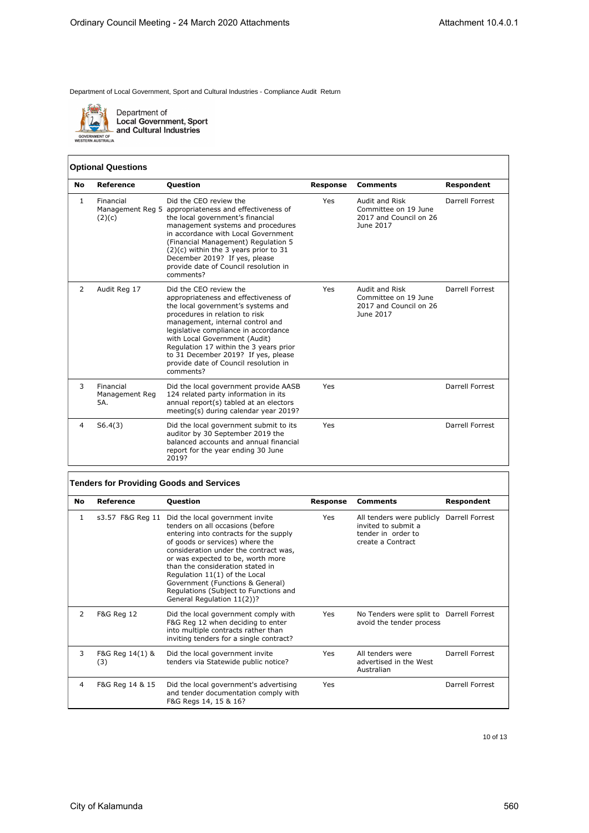

Department of<br>Local Government, Sport<br>and Cultural Industries

### **Optional Questions**

| <b>No</b>    | <b>Reference</b>                   | <b>Question</b>                                                                                                                                                                                                                                                                                                                                                                            | <b>Response</b> | <b>Comments</b>                                                               | Respondent      |
|--------------|------------------------------------|--------------------------------------------------------------------------------------------------------------------------------------------------------------------------------------------------------------------------------------------------------------------------------------------------------------------------------------------------------------------------------------------|-----------------|-------------------------------------------------------------------------------|-----------------|
| $\mathbf{1}$ | Financial<br>(2)(c)                | Did the CEO review the<br>Management Reg 5 appropriateness and effectiveness of<br>the local government's financial<br>management systems and procedures<br>in accordance with Local Government<br>(Financial Management) Regulation 5<br>$(2)(c)$ within the 3 years prior to 31<br>December 2019? If yes, please<br>provide date of Council resolution in<br>comments?                   | Yes             | Audit and Risk<br>Committee on 19 June<br>2017 and Council on 26<br>June 2017 | Darrell Forrest |
| 2            | Audit Reg 17                       | Did the CEO review the<br>appropriateness and effectiveness of<br>the local government's systems and<br>procedures in relation to risk<br>management, internal control and<br>legislative compliance in accordance<br>with Local Government (Audit)<br>Regulation 17 within the 3 years prior<br>to 31 December 2019? If yes, please<br>provide date of Council resolution in<br>comments? | Yes             | Audit and Risk<br>Committee on 19 June<br>2017 and Council on 26<br>June 2017 | Darrell Forrest |
| 3            | Financial<br>Management Reg<br>5A. | Did the local government provide AASB<br>124 related party information in its<br>annual report(s) tabled at an electors<br>meeting(s) during calendar year 2019?                                                                                                                                                                                                                           | Yes             |                                                                               | Darrell Forrest |
| 4            | S6.4(3)                            | Did the local government submit to its<br>auditor by 30 September 2019 the<br>balanced accounts and annual financial<br>report for the year ending 30 June<br>2019?                                                                                                                                                                                                                        | Yes             |                                                                               | Darrell Forrest |

## **Tenders for Providing Goods and Services**

| No | Reference              | <b>Question</b>                                                                                                                                                                                                                                                                                                                                                                                                | Response | <b>Comments</b>                                                                                             | Respondent      |
|----|------------------------|----------------------------------------------------------------------------------------------------------------------------------------------------------------------------------------------------------------------------------------------------------------------------------------------------------------------------------------------------------------------------------------------------------------|----------|-------------------------------------------------------------------------------------------------------------|-----------------|
| 1  | s3.57 F&G Reg 11       | Did the local government invite<br>tenders on all occasions (before<br>entering into contracts for the supply<br>of goods or services) where the<br>consideration under the contract was,<br>or was expected to be, worth more<br>than the consideration stated in<br>Regulation 11(1) of the Local<br>Government (Functions & General)<br>Regulations (Subject to Functions and<br>General Regulation 11(2))? | Yes      | All tenders were publicly Darrell Forrest<br>invited to submit a<br>tender in order to<br>create a Contract |                 |
| 2  | <b>F&amp;G Reg 12</b>  | Did the local government comply with<br>F&G Reg 12 when deciding to enter<br>into multiple contracts rather than<br>inviting tenders for a single contract?                                                                                                                                                                                                                                                    | Yes      | No Tenders were split to Darrell Forrest<br>avoid the tender process                                        |                 |
| 3  | F&G Reg 14(1) &<br>(3) | Did the local government invite<br>tenders via Statewide public notice?                                                                                                                                                                                                                                                                                                                                        | Yes      | All tenders were<br>advertised in the West<br>Australian                                                    | Darrell Forrest |
| 4  | F&G Reg 14 & 15        | Did the local government's advertising<br>and tender documentation comply with<br>F&G Regs 14, 15 & 16?                                                                                                                                                                                                                                                                                                        | Yes      |                                                                                                             | Darrell Forrest |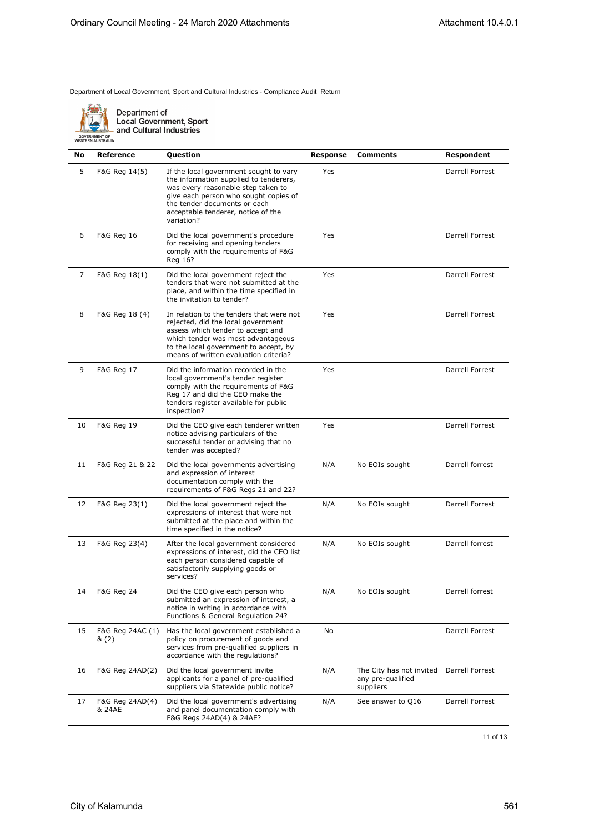

Department of<br>Local Government, Sport<br>- and Cultural Industries

| No | Reference                 | Question                                                                                                                                                                                                                                            | Response | Comments                                                   | Respondent      |
|----|---------------------------|-----------------------------------------------------------------------------------------------------------------------------------------------------------------------------------------------------------------------------------------------------|----------|------------------------------------------------------------|-----------------|
| 5  | F&G Reg 14(5)             | If the local government sought to vary<br>the information supplied to tenderers,<br>was every reasonable step taken to<br>give each person who sought copies of<br>the tender documents or each<br>acceptable tenderer, notice of the<br>variation? | Yes      |                                                            | Darrell Forrest |
| 6  | <b>F&amp;G Reg 16</b>     | Did the local government's procedure<br>for receiving and opening tenders<br>comply with the requirements of F&G<br>Reg 16?                                                                                                                         | Yes      |                                                            | Darrell Forrest |
| 7  | F&G Reg 18(1)             | Did the local government reject the<br>tenders that were not submitted at the<br>place, and within the time specified in<br>the invitation to tender?                                                                                               | Yes      |                                                            | Darrell Forrest |
| 8  | F&G Reg 18 (4)            | In relation to the tenders that were not<br>rejected, did the local government<br>assess which tender to accept and<br>which tender was most advantageous<br>to the local government to accept, by<br>means of written evaluation criteria?         | Yes      |                                                            | Darrell Forrest |
| 9  | F&G Reg 17                | Did the information recorded in the<br>local government's tender register<br>comply with the requirements of F&G<br>Reg 17 and did the CEO make the<br>tenders register available for public<br>inspection?                                         | Yes      |                                                            | Darrell Forrest |
| 10 | F&G Reg 19                | Did the CEO give each tenderer written<br>notice advising particulars of the<br>successful tender or advising that no<br>tender was accepted?                                                                                                       | Yes      |                                                            | Darrell Forrest |
| 11 | F&G Reg 21 & 22           | Did the local governments advertising<br>and expression of interest<br>documentation comply with the<br>requirements of F&G Regs 21 and 22?                                                                                                         | N/A      | No EOIs sought                                             | Darrell forrest |
| 12 | F&G Reg 23(1)             | Did the local government reject the<br>expressions of interest that were not<br>submitted at the place and within the<br>time specified in the notice?                                                                                              | N/A      | No EOIs sought                                             | Darrell Forrest |
| 13 | F&G Reg 23(4)             | After the local government considered<br>expressions of interest, did the CEO list<br>each person considered capable of<br>satisfactorily supplying goods or<br>services?                                                                           | N/A      | No EOIs sought                                             | Darrell forrest |
| 14 | F&G Reg 24                | Did the CEO give each person who<br>submitted an expression of interest, a<br>notice in writing in accordance with<br>Functions & General Regulation 24?                                                                                            | N/A      | No EOIs sought                                             | Darrell forrest |
| 15 | F&G Reg 24AC (1)<br>& (2) | Has the local government established a<br>policy on procurement of goods and<br>services from pre-qualified suppliers in<br>accordance with the regulations?                                                                                        | No       |                                                            | Darrell Forrest |
| 16 | F&G Reg 24AD(2)           | Did the local government invite<br>applicants for a panel of pre-qualified<br>suppliers via Statewide public notice?                                                                                                                                | N/A      | The City has not invited<br>any pre-qualified<br>suppliers | Darrell Forrest |
| 17 | F&G Reg 24AD(4)<br>& 24AE | Did the local government's advertising<br>and panel documentation comply with<br>F&G Regs 24AD(4) & 24AE?                                                                                                                                           | N/A      | See answer to Q16                                          | Darrell Forrest |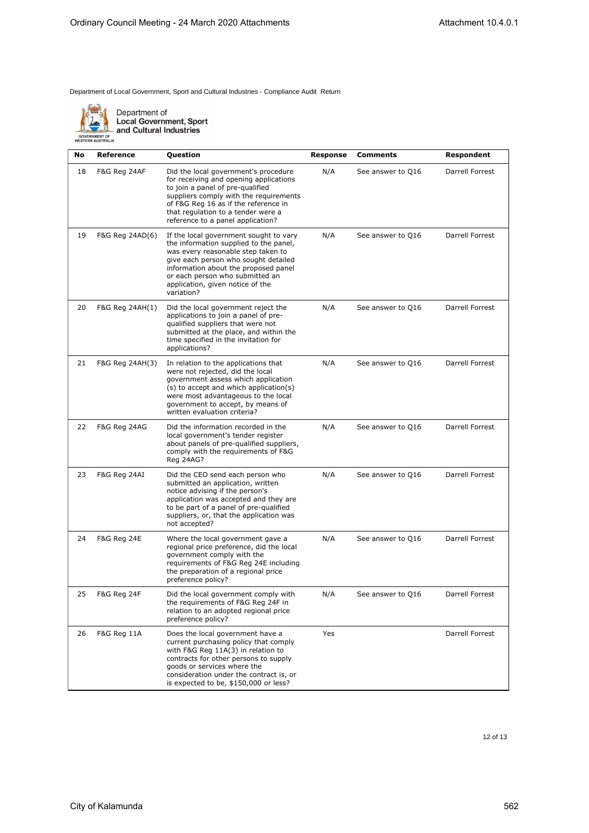

Department of<br>Local Government, Sport<br>and Cultural Industries

| <b>GUVERNMENT UP</b>    |  |
|-------------------------|--|
| <b>FSTERN AUSTRALIA</b> |  |
|                         |  |

| No | Reference              | Question                                                                                                                                                                                                                                                                                    | Response | Comments          | Respondent      |
|----|------------------------|---------------------------------------------------------------------------------------------------------------------------------------------------------------------------------------------------------------------------------------------------------------------------------------------|----------|-------------------|-----------------|
| 18 | F&G Reg 24AF           | Did the local government's procedure<br>for receiving and opening applications<br>to join a panel of pre-qualified<br>suppliers comply with the requirements<br>of F&G Reg 16 as if the reference in<br>that regulation to a tender were a<br>reference to a panel application?             | N/A      | See answer to Q16 | Darrell Forrest |
| 19 | F&G Reg 24AD(6)        | If the local government sought to vary<br>the information supplied to the panel,<br>was every reasonable step taken to<br>give each person who sought detailed<br>information about the proposed panel<br>or each person who submitted an<br>application, given notice of the<br>variation? | N/A      | See answer to Q16 | Darrell Forrest |
| 20 | F&G Reg 24AH(1)        | Did the local government reject the<br>applications to join a panel of pre-<br>qualified suppliers that were not<br>submitted at the place, and within the<br>time specified in the invitation for<br>applications?                                                                         | N/A      | See answer to Q16 | Darrell Forrest |
| 21 | F&G Reg 24AH(3)        | In relation to the applications that<br>were not rejected, did the local<br>government assess which application<br>(s) to accept and which application(s)<br>were most advantageous to the local<br>government to accept, by means of<br>written evaluation criteria?                       | N/A      | See answer to Q16 | Darrell Forrest |
| 22 | F&G Reg 24AG           | Did the information recorded in the<br>local government's tender register<br>about panels of pre-qualified suppliers,<br>comply with the requirements of F&G<br>Reg 24AG?                                                                                                                   | N/A      | See answer to Q16 | Darrell Forrest |
| 23 | F&G Reg 24AI           | Did the CEO send each person who<br>submitted an application, written<br>notice advising if the person's<br>application was accepted and they are<br>to be part of a panel of pre-qualified<br>suppliers, or, that the application was<br>not accepted?                                     | N/A      | See answer to Q16 | Darrell Forrest |
| 24 | <b>F&amp;G Reg 24E</b> | Where the local government gave a<br>regional price preference, did the local<br>government comply with the<br>requirements of F&G Reg 24E including<br>the preparation of a regional price<br>preference policy?                                                                           | N/A      | See answer to Q16 | Darrell Forrest |
| 25 | F&G Reg 24F            | Did the local government comply with<br>the requirements of F&G Reg 24F in<br>relation to an adopted regional price<br>preference policy?                                                                                                                                                   | N/A      | See answer to Q16 | Darrell Forrest |
| 26 | F&G Reg 11A            | Does the local government have a<br>current purchasing policy that comply<br>with F&G Reg 11A(3) in relation to<br>contracts for other persons to supply<br>goods or services where the<br>consideration under the contract is, or<br>is expected to be, \$150,000 or less?                 | Yes      |                   | Darrell Forrest |